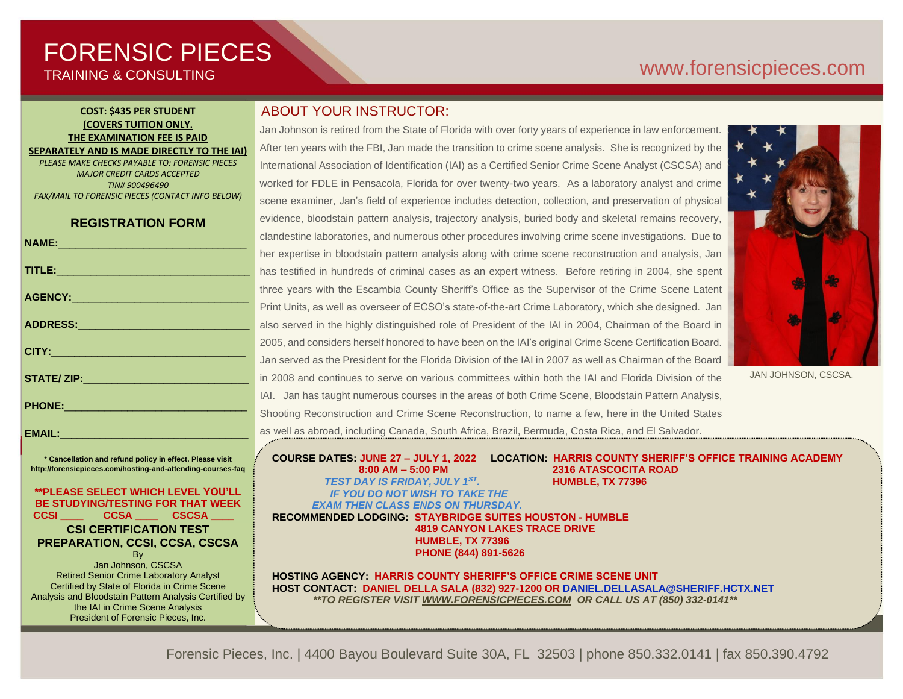# FORENSIC PIECES TRAINING & CONSULTING

# [www.forensicp](http://www.forensic/)ieces.com

#### **COST: \$435 PER STUDENT (COVERS TUITION ONLY. THE EXAMINATION FEE IS PAID SEPARATELY AND IS MADE DIRECTLY TO THE IAI)**

*PLEASE MAKE CHECKS PAYABLE TO: FORENSIC PIECES MAJOR CREDIT CARDS ACCEPTED TIN# 900496490 FAX/MAIL TO FORENSIC PIECES (CONTACT INFO BELOW)*

# **REGISTRATION FORM**

|                                                                                                                                                                                                                                | ◡              |
|--------------------------------------------------------------------------------------------------------------------------------------------------------------------------------------------------------------------------------|----------------|
|                                                                                                                                                                                                                                | h              |
| TITLE: Production and the contract of the contract of the contract of the contract of the contract of the contract of the contract of the contract of the contract of the contract of the contract of the contract of the cont | h              |
|                                                                                                                                                                                                                                | tł             |
|                                                                                                                                                                                                                                | Ē              |
|                                                                                                                                                                                                                                | a              |
|                                                                                                                                                                                                                                | $\overline{2}$ |
|                                                                                                                                                                                                                                | J              |
| STATE/ ZIP: ___________________________________                                                                                                                                                                                | ir             |
|                                                                                                                                                                                                                                | $\overline{L}$ |
| PHONE: 2000 2000 2010 2010 2010 2010 2011 2021 2022 2023                                                                                                                                                                       | S              |
|                                                                                                                                                                                                                                |                |

\* **Cancellation and refund policy in effect. Please visit http://forensicpieces.com/hosting-and-attending-courses-faq**

EMAIL:

#### **\*\*PLEASE SELECT WHICH LEVEL YOU'LL BE STUDYING/TESTING FOR THAT WEEK CCSI \_\_\_\_ CCSA \_\_\_\_ CSCSA \_\_\_\_**

#### **CSI CERTIFICATION TEST PREPARATION, CCSI, CCSA, CSCSA**

**B**<sub>v</sub> Jan Johnson, CSCSA Retired Senior Crime Laboratory Analyst Certified by State of Florida in Crime Scene Analysis and Bloodstain Pattern Analysis Certified by the IAI in Crime Scene Analysis President of Forensic Pieces, Inc.

# ABOUT YOUR INSTRUCTOR:

Jan Johnson is retired from the State of Florida with over forty years of experience in law enforcement. After ten years with the FBI, Jan made the transition to crime scene analysis. She is recognized by the International Association of Identification (IAI) as a Certified Senior Crime Scene Analyst (CSCSA) and worked for FDLE in Pensacola, Florida for over twenty-two years. As a laboratory analyst and crime scene examiner, Jan's field of experience includes detection, collection, and preservation of physical evidence, bloodstain pattern analysis, trajectory analysis, buried body and skeletal remains recovery, clandestine laboratories, and numerous other procedures involving crime scene investigations. Due to her expertise in bloodstain pattern analysis along with crime scene reconstruction and analysis, Jan has testified in hundreds of criminal cases as an expert witness. Before retiring in 2004, she spent hree years with the Escambia County Sheriff's Office as the Supervisor of the Crime Scene Latent Print Units, as well as overseer of ECSO's state-of-the-art Crime Laboratory, which she designed. Jan also served in the highly distinguished role of President of the IAI in 2004, Chairman of the Board in 2005, and considers herself honored to have been on the IAI's original Crime Scene Certification Board. lan served as the President for the Florida Division of the IAI in 2007 as well as Chairman of the Board n 2008 and continues to serve on various committees within both the IAI and Florida Division of the AI. Jan has taught numerous courses in the areas of both Crime Scene, Bloodstain Pattern Analysis, Shooting Reconstruction and Crime Scene Reconstruction, to name a few, here in the United States as well as abroad, including Canada, South Africa, Brazil, Bermuda, Costa Rica, and El Salvador.



JAN JOHNSON, CSCSA.

**COURSE DATES: JUNE 27 – JULY 1, 2022 LOCATION: HARRIS COUNTY SHERIFF'S OFFICE TRAINING ACADEMY 8:00 AM – 5:00 PM 2316 ATASCOCITA ROAD** *TEST DAY IS FRIDAY, JULY 1ST .* **HUMBLE, TX 77396** *IF YOU DO NOT WISH TO TAKE THE EXAM THEN CLASS ENDS ON THURSDAY.*

**RECOMMENDED LODGING: STAYBRIDGE SUITES HOUSTON - HUMBLE 4819 CANYON LAKES TRACE DRIVE HUMBLE, TX 77396 PHONE (844) 891-5626**

**HOSTING AGENCY: HARRIS COUNTY SHERIFF'S OFFICE CRIME SCENE UNIT HOST CONTACT: DANIEL DELLA SALA (832) 927-1200 OR DANIEL.DELLASALA@SHERIFF.HCTX.NET** *\*\*TO REGISTER VISIT [WWW.FORENSICPIECES.COM](http://www.forensicpieces.com/) OR CALL US AT (850) 332-0141\*\**

Forensic Pieces, Inc. | 4400 Bayou Boulevard Suite 30A, FL 32503 | phone 850.332.0141 | fax 850.390.4792